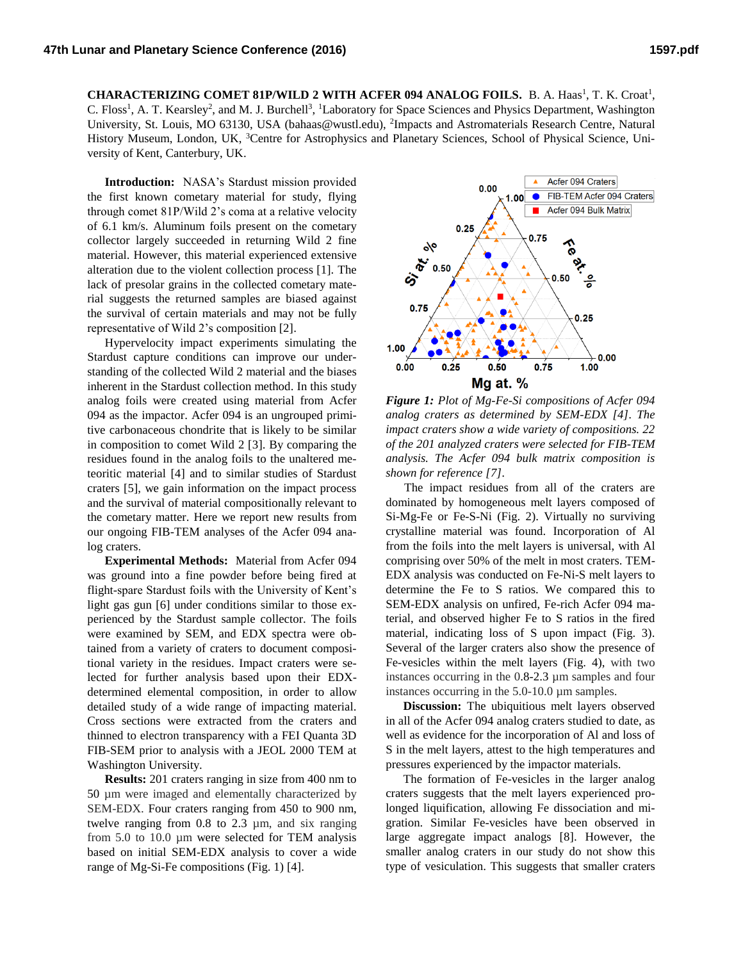**CHARACTERIZING COMET 81P/WILD 2 WITH ACFER 094 ANALOG FOILS.** B. A. Haas<sup>1</sup>, T. K. Croat<sup>1</sup>, C. Floss<sup>1</sup>, A. T. Kearsley<sup>2</sup>, and M. J. Burchell<sup>3</sup>, <sup>1</sup>Laboratory for Space Sciences and Physics Department, Washington University, St. Louis, MO 63130, USA (bahaas@wustl.edu), <sup>2</sup>Impacts and Astromaterials Research Centre, Natural History Museum, London, UK, <sup>3</sup>Centre for Astrophysics and Planetary Sciences, School of Physical Science, University of Kent, Canterbury, UK.

**Introduction:** NASA's Stardust mission provided the first known cometary material for study, flying through comet 81P/Wild 2's coma at a relative velocity of 6.1 km/s. Aluminum foils present on the cometary collector largely succeeded in returning Wild 2 fine material. However, this material experienced extensive alteration due to the violent collection process [1]. The lack of presolar grains in the collected cometary material suggests the returned samples are biased against the survival of certain materials and may not be fully representative of Wild 2's composition [2].

Hypervelocity impact experiments simulating the Stardust capture conditions can improve our understanding of the collected Wild 2 material and the biases inherent in the Stardust collection method. In this study analog foils were created using material from Acfer 094 as the impactor. Acfer 094 is an ungrouped primitive carbonaceous chondrite that is likely to be similar in composition to comet Wild 2 [3]. By comparing the residues found in the analog foils to the unaltered meteoritic material [4] and to similar studies of Stardust craters [5], we gain information on the impact process and the survival of material compositionally relevant to the cometary matter. Here we report new results from our ongoing FIB-TEM analyses of the Acfer 094 analog craters.

**Experimental Methods:** Material from Acfer 094 was ground into a fine powder before being fired at flight-spare Stardust foils with the University of Kent's light gas gun [6] under conditions similar to those experienced by the Stardust sample collector. The foils were examined by SEM, and EDX spectra were obtained from a variety of craters to document compositional variety in the residues. Impact craters were selected for further analysis based upon their EDXdetermined elemental composition, in order to allow detailed study of a wide range of impacting material. Cross sections were extracted from the craters and thinned to electron transparency with a FEI Quanta 3D FIB-SEM prior to analysis with a JEOL 2000 TEM at Washington University.

**Results:** 201 craters ranging in size from 400 nm to 50 µm were imaged and elementally characterized by SEM-EDX. Four craters ranging from 450 to 900 nm, twelve ranging from 0.8 to 2.3 µm, and six ranging from 5.0 to 10.0 µm were selected for TEM analysis based on initial SEM-EDX analysis to cover a wide range of Mg-Si-Fe compositions (Fig. 1) [4].



*Figure 1: Plot of Mg-Fe-Si compositions of Acfer 094 analog craters as determined by SEM-EDX [4]. The impact craters show a wide variety of compositions. 22 of the 201 analyzed craters were selected for FIB-TEM analysis. The Acfer 094 bulk matrix composition is shown for reference [7].*

 The impact residues from all of the craters are dominated by homogeneous melt layers composed of Si-Mg-Fe or Fe-S-Ni (Fig. 2). Virtually no surviving crystalline material was found. Incorporation of Al from the foils into the melt layers is universal, with Al comprising over 50% of the melt in most craters. TEM-EDX analysis was conducted on Fe-Ni-S melt layers to determine the Fe to S ratios. We compared this to SEM-EDX analysis on unfired, Fe-rich Acfer 094 material, and observed higher Fe to S ratios in the fired material, indicating loss of S upon impact (Fig. 3). Several of the larger craters also show the presence of Fe-vesicles within the melt layers (Fig. 4), with two instances occurring in the 0.8-2.3 µm samples and four instances occurring in the 5.0-10.0 µm samples.

**Discussion:** The ubiquitious melt layers observed in all of the Acfer 094 analog craters studied to date, as well as evidence for the incorporation of Al and loss of S in the melt layers, attest to the high temperatures and pressures experienced by the impactor materials.

The formation of Fe-vesicles in the larger analog craters suggests that the melt layers experienced prolonged liquification, allowing Fe dissociation and migration. Similar Fe-vesicles have been observed in large aggregate impact analogs [8]. However, the smaller analog craters in our study do not show this type of vesiculation. This suggests that smaller craters